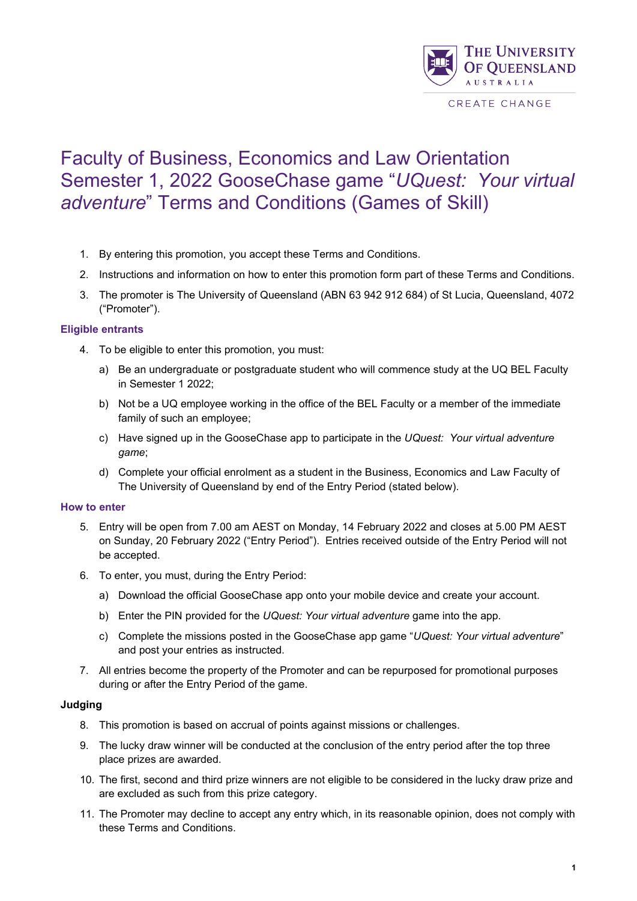

# Faculty of Business, Economics and Law Orientation Semester 1, 2022 GooseChase game "*UQuest: Your virtual adventure*" Terms and Conditions (Games of Skill)

- 1. By entering this promotion, you accept these Terms and Conditions.
- 2. Instructions and information on how to enter this promotion form part of these Terms and Conditions.
- 3. The promoter is The University of Queensland (ABN 63 942 912 684) of St Lucia, Queensland, 4072 ("Promoter").

## **Eligible entrants**

- 4. To be eligible to enter this promotion, you must:
	- a) Be an undergraduate or postgraduate student who will commence study at the UQ BEL Faculty in Semester 1 2022;
	- b) Not be a UQ employee working in the office of the BEL Faculty or a member of the immediate family of such an employee;
	- c) Have signed up in the GooseChase app to participate in the *UQuest: Your virtual adventure game*;
	- d) Complete your official enrolment as a student in the Business, Economics and Law Faculty of The University of Queensland by end of the Entry Period (stated below).

### **How to enter**

- 5. Entry will be open from 7.00 am AEST on Monday, 14 February 2022 and closes at 5.00 PM AEST on Sunday, 20 February 2022 ("Entry Period"). Entries received outside of the Entry Period will not be accepted.
- 6. To enter, you must, during the Entry Period:
	- a) Download the official GooseChase app onto your mobile device and create your account.
	- b) Enter the PIN provided for the *UQuest: Your virtual adventure* game into the app.
	- c) Complete the missions posted in the GooseChase app game "*UQuest: Your virtual adventure*" and post your entries as instructed.
- 7. All entries become the property of the Promoter and can be repurposed for promotional purposes during or after the Entry Period of the game.

### **Judging**

- 8. This promotion is based on accrual of points against missions or challenges.
- 9. The lucky draw winner will be conducted at the conclusion of the entry period after the top three place prizes are awarded.
- 10. The first, second and third prize winners are not eligible to be considered in the lucky draw prize and are excluded as such from this prize category.
- 11. The Promoter may decline to accept any entry which, in its reasonable opinion, does not comply with these Terms and Conditions.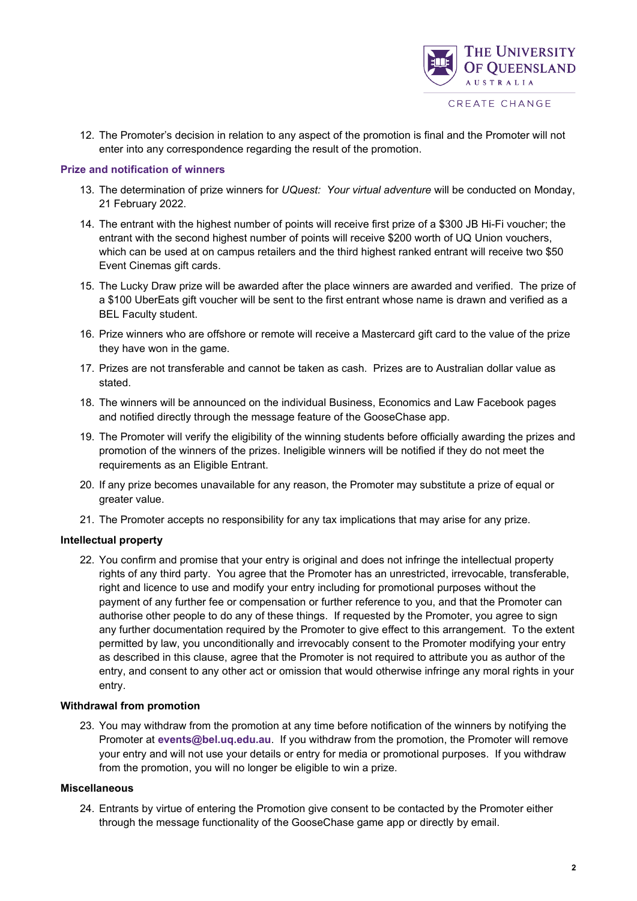

12. The Promoter's decision in relation to any aspect of the promotion is final and the Promoter will not enter into any correspondence regarding the result of the promotion.

### **Prize and notification of winners**

- 13. The determination of prize winners for *UQuest: Your virtual adventure* will be conducted on Monday, 21 February 2022.
- 14. The entrant with the highest number of points will receive first prize of a \$300 JB Hi-Fi voucher; the entrant with the second highest number of points will receive \$200 worth of UQ Union vouchers, which can be used at on campus retailers and the third highest ranked entrant will receive two \$50 Event Cinemas gift cards.
- 15. The Lucky Draw prize will be awarded after the place winners are awarded and verified. The prize of a \$100 UberEats gift voucher will be sent to the first entrant whose name is drawn and verified as a BEL Faculty student.
- 16. Prize winners who are offshore or remote will receive a Mastercard gift card to the value of the prize they have won in the game.
- 17. Prizes are not transferable and cannot be taken as cash. Prizes are to Australian dollar value as stated.
- 18. The winners will be announced on the individual Business, Economics and Law Facebook pages and notified directly through the message feature of the GooseChase app.
- 19. The Promoter will verify the eligibility of the winning students before officially awarding the prizes and promotion of the winners of the prizes. Ineligible winners will be notified if they do not meet the requirements as an Eligible Entrant.
- 20. If any prize becomes unavailable for any reason, the Promoter may substitute a prize of equal or greater value.
- 21. The Promoter accepts no responsibility for any tax implications that may arise for any prize.

### **Intellectual property**

22. You confirm and promise that your entry is original and does not infringe the intellectual property rights of any third party. You agree that the Promoter has an unrestricted, irrevocable, transferable, right and licence to use and modify your entry including for promotional purposes without the payment of any further fee or compensation or further reference to you, and that the Promoter can authorise other people to do any of these things. If requested by the Promoter, you agree to sign any further documentation required by the Promoter to give effect to this arrangement. To the extent permitted by law, you unconditionally and irrevocably consent to the Promoter modifying your entry as described in this clause, agree that the Promoter is not required to attribute you as author of the entry, and consent to any other act or omission that would otherwise infringe any moral rights in your entry.

### **Withdrawal from promotion**

23. You may withdraw from the promotion at any time before notification of the winners by notifying the Promoter at **events@bel.uq.edu.au**. If you withdraw from the promotion, the Promoter will remove your entry and will not use your details or entry for media or promotional purposes. If you withdraw from the promotion, you will no longer be eligible to win a prize.

#### **Miscellaneous**

24. Entrants by virtue of entering the Promotion give consent to be contacted by the Promoter either through the message functionality of the GooseChase game app or directly by email.